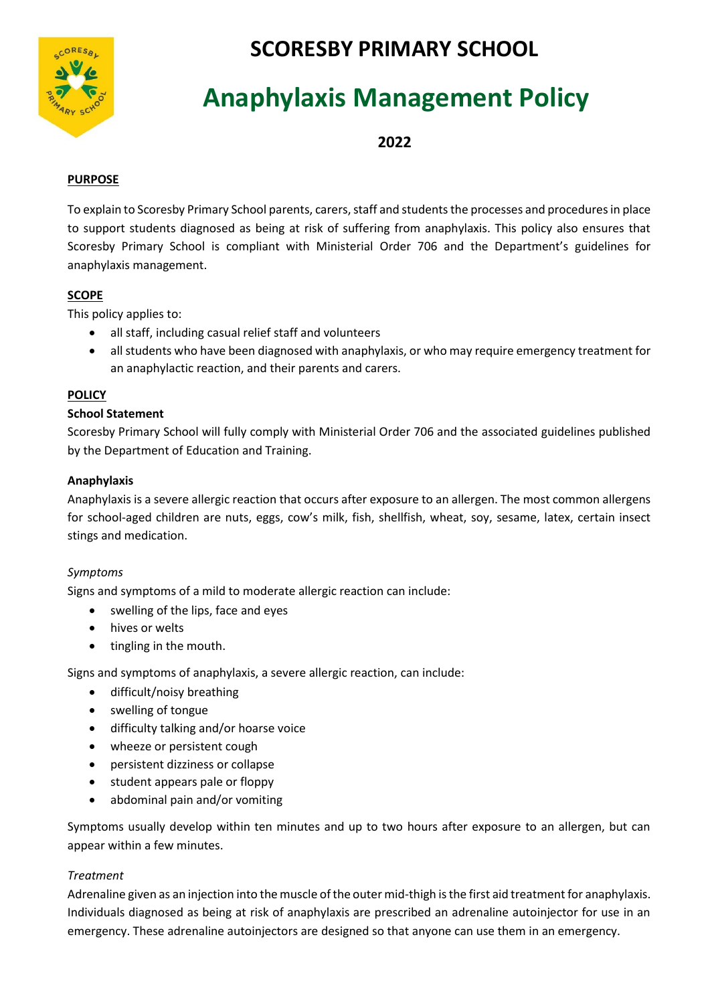

# **SCORESBY PRIMARY SCHOOL**

# **Anaphylaxis Management Policy**

**2022**

# **PURPOSE**

To explain to Scoresby Primary School parents, carers, staff and students the processes and procedures in place to support students diagnosed as being at risk of suffering from anaphylaxis. This policy also ensures that Scoresby Primary School is compliant with Ministerial Order 706 and the Department's guidelines for anaphylaxis management.

# **SCOPE**

This policy applies to:

- all staff, including casual relief staff and volunteers
- all students who have been diagnosed with anaphylaxis, or who may require emergency treatment for an anaphylactic reaction, and their parents and carers.

# **POLICY**

# **School Statement**

Scoresby Primary School will fully comply with Ministerial Order 706 and the associated guidelines published by the Department of Education and Training.

# **Anaphylaxis**

Anaphylaxis is a severe allergic reaction that occurs after exposure to an allergen. The most common allergens for school-aged children are nuts, eggs, cow's milk, fish, shellfish, wheat, soy, sesame, latex, certain insect stings and medication.

#### *Symptoms*

Signs and symptoms of a mild to moderate allergic reaction can include:

- swelling of the lips, face and eyes
- hives or welts
- tingling in the mouth.

Signs and symptoms of anaphylaxis, a severe allergic reaction, can include:

- difficult/noisy breathing
- swelling of tongue
- difficulty talking and/or hoarse voice
- wheeze or persistent cough
- persistent dizziness or collapse
- student appears pale or floppy
- abdominal pain and/or vomiting

Symptoms usually develop within ten minutes and up to two hours after exposure to an allergen, but can appear within a few minutes.

# *Treatment*

Adrenaline given as an injection into the muscle of the outer mid-thigh is the first aid treatment for anaphylaxis. Individuals diagnosed as being at risk of anaphylaxis are prescribed an adrenaline autoinjector for use in an emergency. These adrenaline autoinjectors are designed so that anyone can use them in an emergency.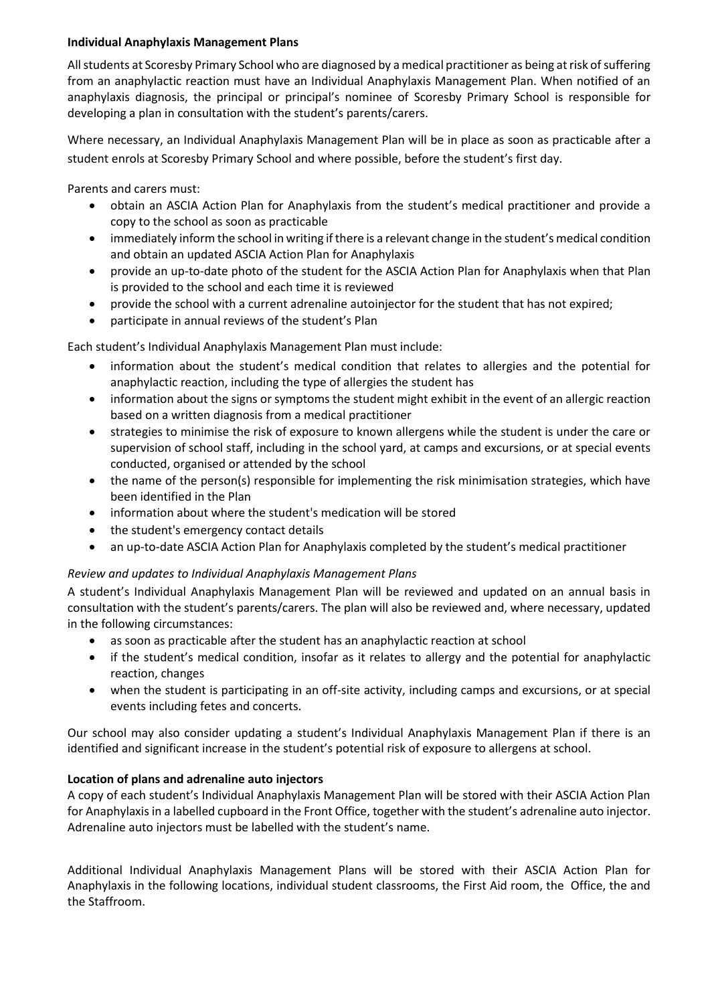#### **Individual Anaphylaxis Management Plans**

All students at Scoresby Primary School who are diagnosed by a medical practitioner as being at risk of suffering from an anaphylactic reaction must have an Individual Anaphylaxis Management Plan. When notified of an anaphylaxis diagnosis, the principal or principal's nominee of Scoresby Primary School is responsible for developing a plan in consultation with the student's parents/carers.

Where necessary, an Individual Anaphylaxis Management Plan will be in place as soon as practicable after a student enrols at Scoresby Primary School and where possible, before the student's first day.

Parents and carers must:

- obtain an ASCIA Action Plan for Anaphylaxis from the student's medical practitioner and provide a copy to the school as soon as practicable
- immediately inform the school in writing if there is a relevant change in the student's medical condition and obtain an updated ASCIA Action Plan for Anaphylaxis
- provide an up-to-date photo of the student for the ASCIA Action Plan for Anaphylaxis when that Plan is provided to the school and each time it is reviewed
- provide the school with a current adrenaline autoinjector for the student that has not expired;
- participate in annual reviews of the student's Plan

Each student's Individual Anaphylaxis Management Plan must include:

- information about the student's medical condition that relates to allergies and the potential for anaphylactic reaction, including the type of allergies the student has
- information about the signs or symptoms the student might exhibit in the event of an allergic reaction based on a written diagnosis from a medical practitioner
- strategies to minimise the risk of exposure to known allergens while the student is under the care or supervision of school staff, including in the school yard, at camps and excursions, or at special events conducted, organised or attended by the school
- the name of the person(s) responsible for implementing the risk minimisation strategies, which have been identified in the Plan
- information about where the student's medication will be stored
- the student's emergency contact details
- an up-to-date ASCIA Action Plan for Anaphylaxis completed by the student's medical practitioner

#### *Review and updates to Individual Anaphylaxis Management Plans*

A student's Individual Anaphylaxis Management Plan will be reviewed and updated on an annual basis in consultation with the student's parents/carers. The plan will also be reviewed and, where necessary, updated in the following circumstances:

- as soon as practicable after the student has an anaphylactic reaction at school
- if the student's medical condition, insofar as it relates to allergy and the potential for anaphylactic reaction, changes
- when the student is participating in an off-site activity, including camps and excursions, or at special events including fetes and concerts.

Our school may also consider updating a student's Individual Anaphylaxis Management Plan if there is an identified and significant increase in the student's potential risk of exposure to allergens at school.

#### **Location of plans and adrenaline auto injectors**

A copy of each student's Individual Anaphylaxis Management Plan will be stored with their ASCIA Action Plan for Anaphylaxis in a labelled cupboard in the Front Office, together with the student's adrenaline auto injector. Adrenaline auto injectors must be labelled with the student's name.

Additional Individual Anaphylaxis Management Plans will be stored with their ASCIA Action Plan for Anaphylaxis in the following locations, individual student classrooms, the First Aid room, the Office, the and the Staffroom.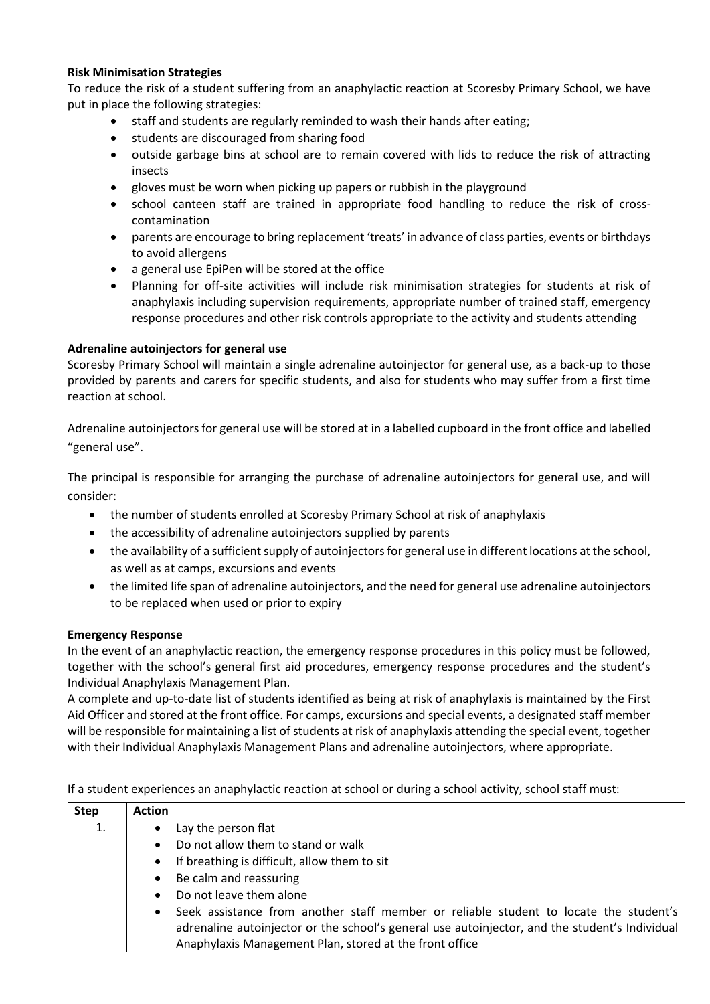#### **Risk Minimisation Strategies**

To reduce the risk of a student suffering from an anaphylactic reaction at Scoresby Primary School, we have put in place the following strategies:

- staff and students are regularly reminded to wash their hands after eating;
- students are discouraged from sharing food
- outside garbage bins at school are to remain covered with lids to reduce the risk of attracting insects
- gloves must be worn when picking up papers or rubbish in the playground
- school canteen staff are trained in appropriate food handling to reduce the risk of crosscontamination
- parents are encourage to bring replacement 'treats' in advance of class parties, events or birthdays to avoid allergens
- a general use EpiPen will be stored at the office
- Planning for off-site activities will include risk minimisation strategies for students at risk of anaphylaxis including supervision requirements, appropriate number of trained staff, emergency response procedures and other risk controls appropriate to the activity and students attending

#### **Adrenaline autoinjectors for general use**

Scoresby Primary School will maintain a single adrenaline autoinjector for general use, as a back-up to those provided by parents and carers for specific students, and also for students who may suffer from a first time reaction at school.

Adrenaline autoinjectors for general use will be stored at in a labelled cupboard in the front office and labelled "general use".

The principal is responsible for arranging the purchase of adrenaline autoinjectors for general use, and will consider:

- the number of students enrolled at Scoresby Primary School at risk of anaphylaxis
- the accessibility of adrenaline autoinjectors supplied by parents
- the availability of a sufficient supply of autoinjectors for general use in different locations at the school, as well as at camps, excursions and events
- the limited life span of adrenaline autoinjectors, and the need for general use adrenaline autoinjectors to be replaced when used or prior to expiry

#### **Emergency Response**

In the event of an anaphylactic reaction, the emergency response procedures in this policy must be followed, together with the school's general first aid procedures, emergency response procedures and the student's Individual Anaphylaxis Management Plan.

A complete and up-to-date list of students identified as being at risk of anaphylaxis is maintained by the First Aid Officer and stored at the front office. For camps, excursions and special events, a designated staff member will be responsible for maintaining a list of students at risk of anaphylaxis attending the special event, together with their Individual Anaphylaxis Management Plans and adrenaline autoinjectors, where appropriate.

|  | If a student experiences an anaphylactic reaction at school or during a school activity, school staff must: |  |
|--|-------------------------------------------------------------------------------------------------------------|--|
|--|-------------------------------------------------------------------------------------------------------------|--|

| <b>Step</b> | <b>Action</b>                                                                                                                                                                                                                                      |  |
|-------------|----------------------------------------------------------------------------------------------------------------------------------------------------------------------------------------------------------------------------------------------------|--|
| 1.          | Lay the person flat                                                                                                                                                                                                                                |  |
|             | Do not allow them to stand or walk                                                                                                                                                                                                                 |  |
|             | If breathing is difficult, allow them to sit<br>$\bullet$                                                                                                                                                                                          |  |
|             | Be calm and reassuring                                                                                                                                                                                                                             |  |
|             | Do not leave them alone                                                                                                                                                                                                                            |  |
|             | Seek assistance from another staff member or reliable student to locate the student's<br>adrenaline autoinjector or the school's general use autoinjector, and the student's Individual<br>Anaphylaxis Management Plan, stored at the front office |  |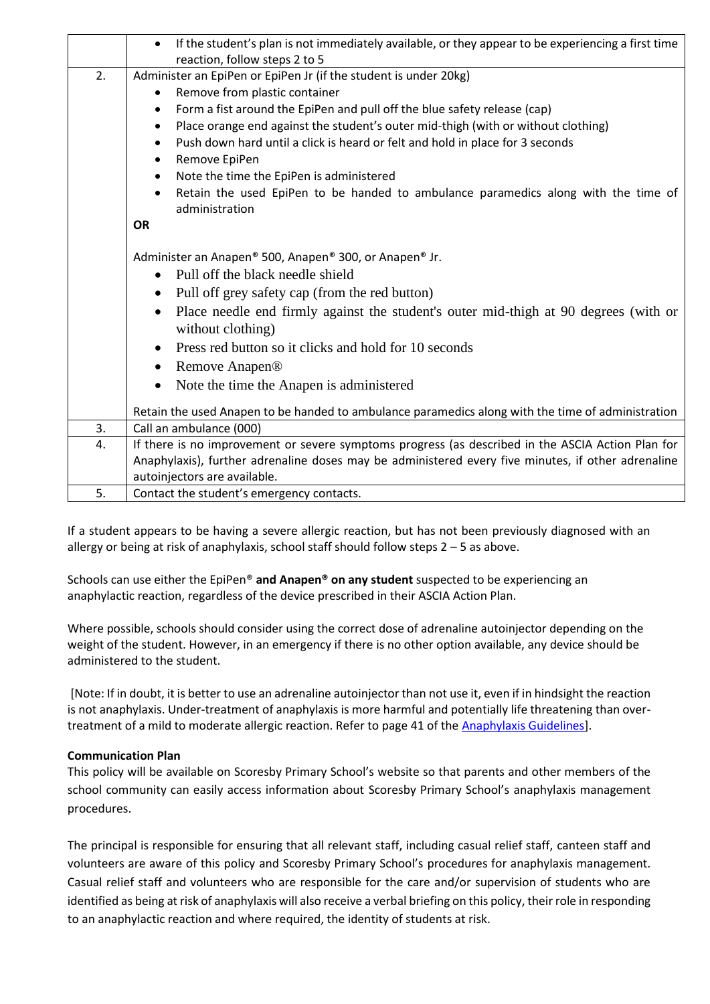|    | If the student's plan is not immediately available, or they appear to be experiencing a first time<br>reaction, follow steps 2 to 5 |  |  |  |
|----|-------------------------------------------------------------------------------------------------------------------------------------|--|--|--|
| 2. | Administer an EpiPen or EpiPen Jr (if the student is under 20kg)                                                                    |  |  |  |
|    | Remove from plastic container                                                                                                       |  |  |  |
|    | Form a fist around the EpiPen and pull off the blue safety release (cap)                                                            |  |  |  |
|    | Place orange end against the student's outer mid-thigh (with or without clothing)                                                   |  |  |  |
|    | Push down hard until a click is heard or felt and hold in place for 3 seconds                                                       |  |  |  |
|    | Remove EpiPen                                                                                                                       |  |  |  |
|    | Note the time the EpiPen is administered                                                                                            |  |  |  |
|    | Retain the used EpiPen to be handed to ambulance paramedics along with the time of<br>administration                                |  |  |  |
|    | <b>OR</b>                                                                                                                           |  |  |  |
|    | Administer an Anapen® 500, Anapen® 300, or Anapen® Jr.                                                                              |  |  |  |
|    | Pull off the black needle shield<br>$\bullet$                                                                                       |  |  |  |
|    | Pull off grey safety cap (from the red button)                                                                                      |  |  |  |
|    | Place needle end firmly against the student's outer mid-thigh at 90 degrees (with or                                                |  |  |  |
|    | without clothing)                                                                                                                   |  |  |  |
|    | Press red button so it clicks and hold for 10 seconds                                                                               |  |  |  |
|    | Remove Anapen®                                                                                                                      |  |  |  |
|    | Note the time the Anapen is administered                                                                                            |  |  |  |
|    | Retain the used Anapen to be handed to ambulance paramedics along with the time of administration                                   |  |  |  |
| 3. | Call an ambulance (000)                                                                                                             |  |  |  |
| 4. | If there is no improvement or severe symptoms progress (as described in the ASCIA Action Plan for                                   |  |  |  |
|    | Anaphylaxis), further adrenaline doses may be administered every five minutes, if other adrenaline                                  |  |  |  |
|    | autoinjectors are available.                                                                                                        |  |  |  |
| 5. | Contact the student's emergency contacts.                                                                                           |  |  |  |

If a student appears to be having a severe allergic reaction, but has not been previously diagnosed with an allergy or being at risk of anaphylaxis, school staff should follow steps  $2 - 5$  as above.

Schools can use either the EpiPen® **and Anapen® on any student** suspected to be experiencing an anaphylactic reaction, regardless of the device prescribed in their ASCIA Action Plan.

Where possible, schools should consider using the correct dose of adrenaline autoinjector depending on the weight of the student. However, in an emergency if there is no other option available, any device should be administered to the student.

[Note: If in doubt, it is better to use an adrenaline autoinjector than not use it, even if in hindsight the reaction is not anaphylaxis. Under-treatment of anaphylaxis is more harmful and potentially life threatening than overtreatment of a mild to moderate allergic reaction. Refer to page 41 of the [Anaphylaxis Guidelines\]](http://www.education.vic.gov.au/school/teachers/health/pages/anaphylaxisschl.aspx).

#### **Communication Plan**

This policy will be available on Scoresby Primary School's website so that parents and other members of the school community can easily access information about Scoresby Primary School's anaphylaxis management procedures.

The principal is responsible for ensuring that all relevant staff, including casual relief staff, canteen staff and volunteers are aware of this policy and Scoresby Primary School's procedures for anaphylaxis management. Casual relief staff and volunteers who are responsible for the care and/or supervision of students who are identified as being at risk of anaphylaxis will also receive a verbal briefing on this policy, their role in responding to an anaphylactic reaction and where required, the identity of students at risk.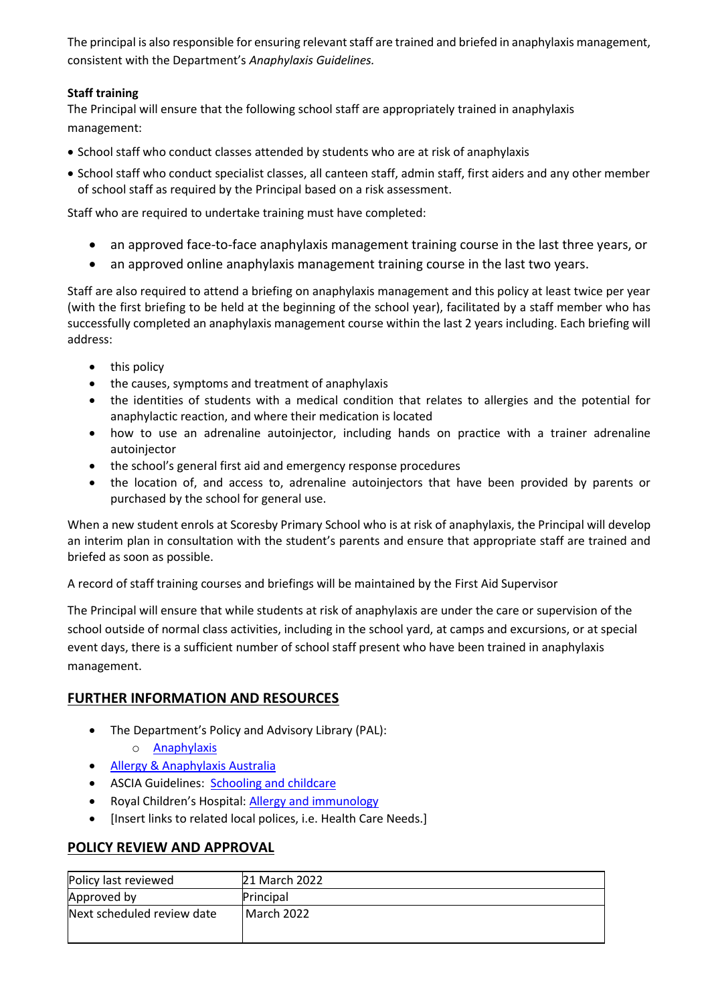The principal is also responsible for ensuring relevant staff are trained and briefed in anaphylaxis management, consistent with the Department's *Anaphylaxis Guidelines.*

# **Staff training**

The Principal will ensure that the following school staff are appropriately trained in anaphylaxis management:

- School staff who conduct classes attended by students who are at risk of anaphylaxis
- School staff who conduct specialist classes, all canteen staff, admin staff, first aiders and any other member of school staff as required by the Principal based on a risk assessment.

Staff who are required to undertake training must have completed:

- an approved face-to-face anaphylaxis management training course in the last three years, or
- an approved online anaphylaxis management training course in the last two years.

Staff are also required to attend a briefing on anaphylaxis management and this policy at least twice per year (with the first briefing to be held at the beginning of the school year), facilitated by a staff member who has successfully completed an anaphylaxis management course within the last 2 years including. Each briefing will address:

- this policy
- the causes, symptoms and treatment of anaphylaxis
- the identities of students with a medical condition that relates to allergies and the potential for anaphylactic reaction, and where their medication is located
- how to use an adrenaline autoinjector, including hands on practice with a trainer adrenaline autoinjector
- the school's general first aid and emergency response procedures
- the location of, and access to, adrenaline autoinjectors that have been provided by parents or purchased by the school for general use.

When a new student enrols at Scoresby Primary School who is at risk of anaphylaxis, the Principal will develop an interim plan in consultation with the student's parents and ensure that appropriate staff are trained and briefed as soon as possible.

A record of staff training courses and briefings will be maintained by the First Aid Supervisor

The Principal will ensure that while students at risk of anaphylaxis are under the care or supervision of the school outside of normal class activities, including in the school yard, at camps and excursions, or at special event days, there is a sufficient number of school staff present who have been trained in anaphylaxis management.

# **FURTHER INFORMATION AND RESOURCES**

- The Department's Policy and Advisory Library (PAL):
	- o [Anaphylaxis](https://www2.education.vic.gov.au/pal/anaphylaxis/policy)
- [Allergy & Anaphylaxis Australia](https://allergyfacts.org.au/)
- ASCIA Guidelines: [Schooling and childcare](https://allergyfacts.org.au/allergy-management/schooling-childcare)
- Royal Children's Hospital: [Allergy and immunology](https://www.rch.org.au/allergy/about_us/Allergy_and_Immunology/)
- [Insert links to related local polices, i.e. Health Care Needs.]

# **POLICY REVIEW AND APPROVAL**

| Policy last reviewed       | 21 March 2022 |
|----------------------------|---------------|
| Approved by                | Principal     |
| Next scheduled review date | l March 2022  |
|                            |               |